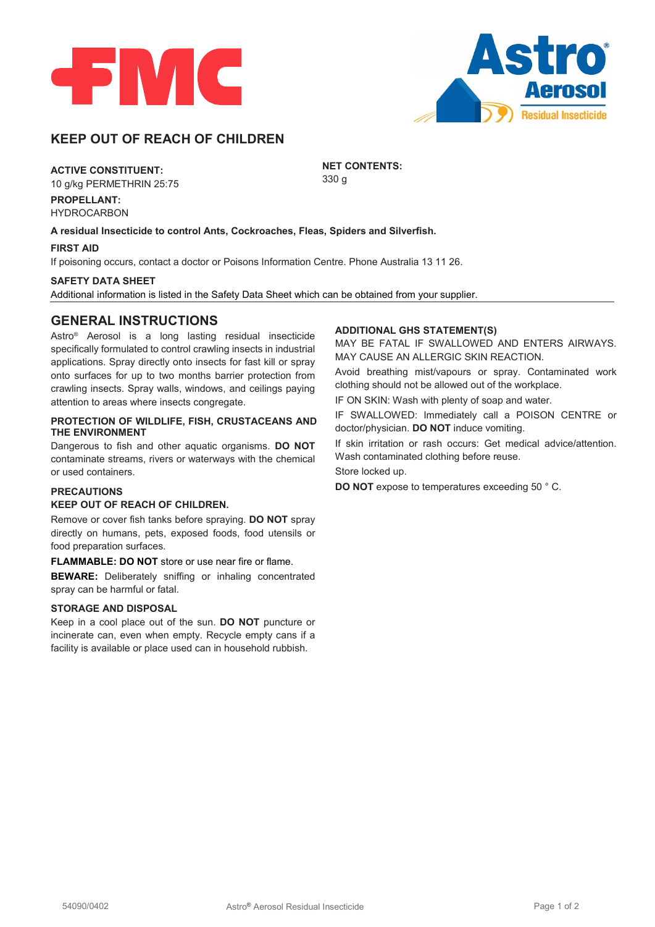



# **KEEP OUT OF REACH OF CHILDREN**

### **ACTIVE CONSTITUENT:**

10 g/kg PERMETHRIN 25:75

**PROPELLANT:** HYDROCARBON

**A residual Insecticide to control Ants, Cockroaches, Fleas, Spiders and Silverfish.**

#### **FIRST AID**

If poisoning occurs, contact a doctor or Poisons Information Centre. Phone Australia 13 11 26.

#### **SAFETY DATA SHEET**

Additional information is listed in the Safety Data Sheet which can be obtained from your supplier.

### **GENERAL INSTRUCTIONS**

Astro® Aerosol is a long lasting residual insecticide specifically formulated to control crawling insects in industrial applications. Spray directly onto insects for fast kill or spray onto surfaces for up to two months barrier protection from crawling insects. Spray walls, windows, and ceilings paying attention to areas where insects congregate.

#### **PROTECTION OF WILDLIFE, FISH, CRUSTACEANS AND THE ENVIRONMENT**

Dangerous to fish and other aquatic organisms. **DO NOT** contaminate streams, rivers or waterways with the chemical or used containers.

#### **PRECAUTIONS**

#### **KEEP OUT OF REACH OF CHILDREN.**

Remove or cover fish tanks before spraying. **DO NOT** spray directly on humans, pets, exposed foods, food utensils or food preparation surfaces.

#### **FLAMMABLE: DO NOT** store or use near fire or flame.

**BEWARE:** Deliberately sniffing or inhaling concentrated spray can be harmful or fatal.

### **STORAGE AND DISPOSAL**

Keep in a cool place out of the sun. **DO NOT** puncture or incinerate can, even when empty. Recycle empty cans if a facility is available or place used can in household rubbish.

#### **ADDITIONAL GHS STATEMENT(S)**

MAY BE FATAL IF SWALLOWED AND ENTERS AIRWAYS. MAY CAUSE AN ALLERGIC SKIN REACTION.

Avoid breathing mist/vapours or spray. Contaminated work clothing should not be allowed out of the workplace.

IF ON SKIN: Wash with plenty of soap and water.

IF SWALLOWED: Immediately call a POISON CENTRE or doctor/physician. **DO NOT** induce vomiting.

If skin irritation or rash occurs: Get medical advice/attention. Wash contaminated clothing before reuse.

Store locked up.

**NET CONTENTS:**

330 g

**DO NOT** expose to temperatures exceeding 50 ° C.